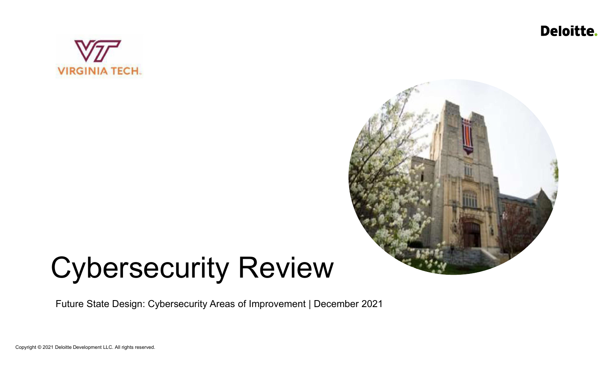Deloitte.





# Cybersecurity Review

Future State Design: Cybersecurity Areas of Improvement | December 2021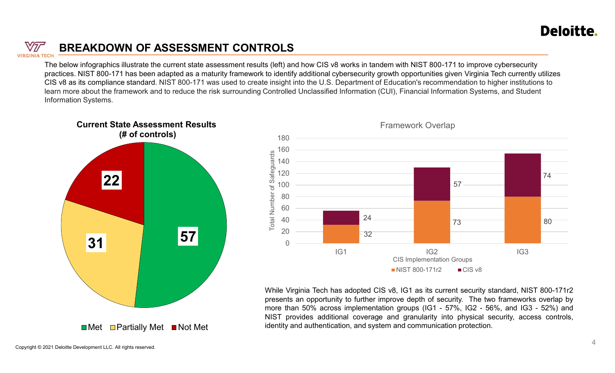

# BREAKDOWN OF ASSESSMENT CONTROLS

The below infographics illustrate the current state assessment results (left) and how CIS v8 works in tandem with NIST 800-171 to improve cybersecurity produces. NIST 800-171 has been adapted as a maturity framework to identify additional cybersecurity growth opportunities given Virginia Tech currently utilizes<br>The below infographics illustrate the current state assessmen **EXEMENT CONTROLS**<br>
CIST DEPOPERT CONTROUS<br>
The below infographics illustrate the current state assessment results (left) and how CIS v8 works in tandem with NIST 800-171 to improve cybersecurity<br>
DRIGITS V8. as its compli learn more about the framework and to reduce the risk surrounding Controlled Unclassified Information (CUI), Financial Information Systems, and Student Information Systems.





Framework Overlap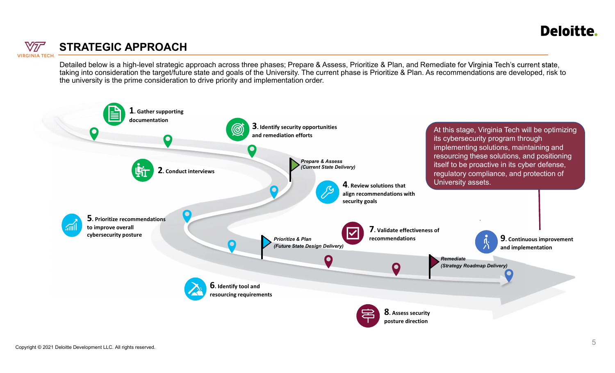

### STRATEGIC APPROACH

STRATEGIC APPROACH<br>Detailed below is a high-level strategic approach across three phases; Prepare & Assess, Prioritize & Plan, and Remediate for Virginia Tech'<br>taking into consideration the target/future state and goals of the university is the prime consideration to drive priority and implementation order.

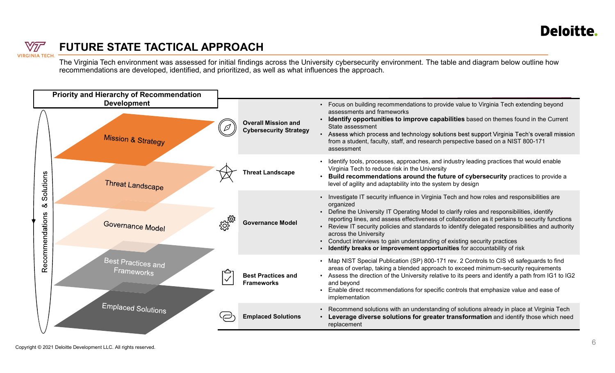# **VIRGINIA TECH**

### FUTURE STATE TACTICAL APPROACH

recommendations are developed, identified, and prioritized, as well as what influences the approach.

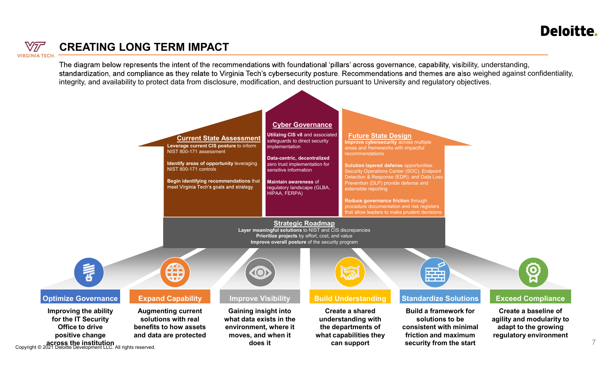# **VIRGINIA TECH**

### CREATING LONG TERM IMPACT

The diagram below represents the intent of the recommendations with foundational 'pillars' across governance, capability, visibility, understanding, standardization, and compliance as they relate to Virginia Tech's cybersecurity posture. Recommendations and themes are also weighed against confidentiality,



7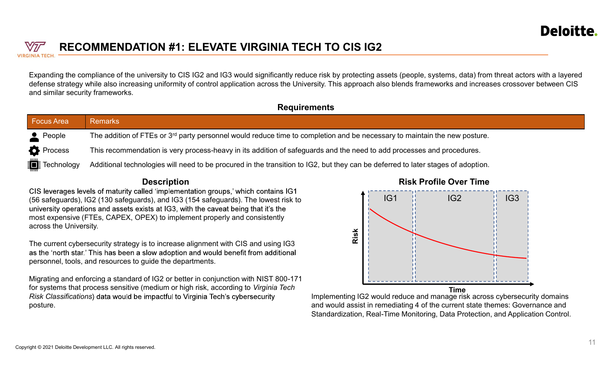

### RECOMMENDATION #1: ELEVATE VIRGINIA TECH TO CIS IG2

#### **Requirements**

|                                  |                                                                                                                                       | <b>Deloiti</b>                                                                                                                                                                                                                                                                                                                                           |  |  |  |
|----------------------------------|---------------------------------------------------------------------------------------------------------------------------------------|----------------------------------------------------------------------------------------------------------------------------------------------------------------------------------------------------------------------------------------------------------------------------------------------------------------------------------------------------------|--|--|--|
| $\sqrt{2}T$                      | <b>RECOMMENDATION #1: ELEVATE VIRGINIA TECH TO CIS IG2</b>                                                                            |                                                                                                                                                                                                                                                                                                                                                          |  |  |  |
| <b>SINIA TECH</b>                |                                                                                                                                       |                                                                                                                                                                                                                                                                                                                                                          |  |  |  |
| and similar security frameworks. |                                                                                                                                       | Expanding the compliance of the university to CIS IG2 and IG3 would significantly reduce risk by protecting assets (people, systems, data) from threat actors with a layered<br>defense strategy while also increasing uniformity of control application across the University. This approach also blends frameworks and increases crossover between CIS |  |  |  |
|                                  | <b>Requirements</b>                                                                                                                   |                                                                                                                                                                                                                                                                                                                                                          |  |  |  |
| <b>Focus Area</b>                | <b>Remarks</b>                                                                                                                        |                                                                                                                                                                                                                                                                                                                                                          |  |  |  |
| $\bullet$ People                 | The addition of FTEs or 3 <sup>rd</sup> party personnel would reduce time to completion and be necessary to maintain the new posture. |                                                                                                                                                                                                                                                                                                                                                          |  |  |  |
| <b>Process</b>                   | This recommendation is very process-heavy in its addition of safeguards and the need to add processes and procedures.                 |                                                                                                                                                                                                                                                                                                                                                          |  |  |  |
|                                  | Additional technologies will need to be procured in the transition to IG2, but they can be deferred to later stages of adoption.      |                                                                                                                                                                                                                                                                                                                                                          |  |  |  |
| <b>i</b> Technology              |                                                                                                                                       |                                                                                                                                                                                                                                                                                                                                                          |  |  |  |
|                                  | <b>Description</b>                                                                                                                    | <b>Risk Profile Over Time</b>                                                                                                                                                                                                                                                                                                                            |  |  |  |

#### **Description**

(56 safeguards), IG2 (130 safeguards), and IG3 (154 safeguards). The lowest risk to most expensive (FTEs, CAPEX, OPEX) to implement properly and consistently across the University.

The current cybersecurity strategy is to increase alignment with CIS and using IG3 as the 'north star,' This has been a slow adoption and would benefit from additional personnel, tools, and resources to guide the departments.

Migrating and enforcing a standard of IG2 or better in conjunction with NIST 800-171 for systems that process sensitive (medium or high risk, according to Virginia Tech Risk Classifications) data would be impactful to Virginia Tech's cybersecurity posture.



Implementing IG2 would reduce and manage risk across cybersecurity domains and would assist in remediating 4 of the current state themes: Governance and Standardization, Real-Time Monitoring, Data Protection, and Application Control. **Time** and the contract of the contract of the contract of the contract of the contract of the contract of the contract of the contract of the contract of the contract of the contract of the contract of the contract of the

#### Risk Profile Over Time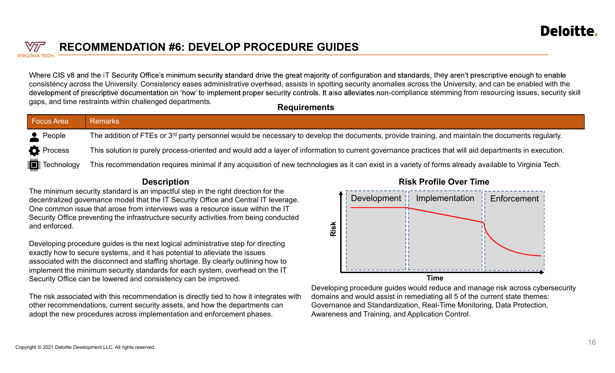

### RECOMMENDATION #6: DEVELOP PROCEDURE GUIDES

| VIF                                                                                                                                                                                                                                                                                                                                                                   | <b>RECOMMENDATION #6: DEVELOP PROCEDURE GUIDES</b>                                                                                                                                                                                                                                                                                                                                                       | <b>Deloitte</b>                                                                                                                                                                                                                                                                                                                                                                                                                                                                                                                  |  |  |  |
|-----------------------------------------------------------------------------------------------------------------------------------------------------------------------------------------------------------------------------------------------------------------------------------------------------------------------------------------------------------------------|----------------------------------------------------------------------------------------------------------------------------------------------------------------------------------------------------------------------------------------------------------------------------------------------------------------------------------------------------------------------------------------------------------|----------------------------------------------------------------------------------------------------------------------------------------------------------------------------------------------------------------------------------------------------------------------------------------------------------------------------------------------------------------------------------------------------------------------------------------------------------------------------------------------------------------------------------|--|--|--|
|                                                                                                                                                                                                                                                                                                                                                                       | gaps, and time restraints within challenged departments.<br><b>Requirements</b>                                                                                                                                                                                                                                                                                                                          | Where CIS v8 and the IT Security Office's minimum security standard drive the great majority of configuration and standards, they aren't prescriptive enough to enable<br>consistency across the University. Consistency eases administrative overhead, assists in spotting security anomalies across the University, and can be enabled with the<br>development of prescriptive documentation on 'how' to implement proper security controls. It also alleviates non-compliance stemming from resourcing issues, security skill |  |  |  |
| <b>Focus Area</b>                                                                                                                                                                                                                                                                                                                                                     | <b>Remarks</b>                                                                                                                                                                                                                                                                                                                                                                                           |                                                                                                                                                                                                                                                                                                                                                                                                                                                                                                                                  |  |  |  |
| $\triangle$ People                                                                                                                                                                                                                                                                                                                                                    |                                                                                                                                                                                                                                                                                                                                                                                                          | The addition of FTEs or 3 <sup>rd</sup> party personnel would be necessary to develop the documents, provide training, and maintain the documents regularly.                                                                                                                                                                                                                                                                                                                                                                     |  |  |  |
| <b>Process</b>                                                                                                                                                                                                                                                                                                                                                        | This solution is purely process-oriented and would add a layer of information to current governance practices that will aid departments in execution.                                                                                                                                                                                                                                                    |                                                                                                                                                                                                                                                                                                                                                                                                                                                                                                                                  |  |  |  |
| <b>F</b> : Technology                                                                                                                                                                                                                                                                                                                                                 |                                                                                                                                                                                                                                                                                                                                                                                                          | This recommendation requires minimal if any acquisition of new technologies as it can exist in a variety of forms already available to Virginia Tech.                                                                                                                                                                                                                                                                                                                                                                            |  |  |  |
|                                                                                                                                                                                                                                                                                                                                                                       | <b>Description</b>                                                                                                                                                                                                                                                                                                                                                                                       | <b>Risk Profile Over Time</b>                                                                                                                                                                                                                                                                                                                                                                                                                                                                                                    |  |  |  |
| The minimum security standard is an impactful step in the right direction for the<br>decentralized governance model that the IT Security Office and Central IT leverage.<br>One common issue that arose from interviews was a resource issue within the IT<br>Security Office preventing the infrastructure security activities from being conducted<br>and enforced. |                                                                                                                                                                                                                                                                                                                                                                                                          | Development    Implementation<br>Enforcement<br>Risk                                                                                                                                                                                                                                                                                                                                                                                                                                                                             |  |  |  |
|                                                                                                                                                                                                                                                                                                                                                                       | Developing procedure guides is the next logical administrative step for directing<br>exactly how to secure systems, and it has potential to alleviate the issues<br>associated with the disconnect and staffing shortage. By clearly outlining how to<br>implement the minimum security standards for each system, overhead on the IT<br>Security Office can be lowered and consistency can be improved. | <b>Time</b>                                                                                                                                                                                                                                                                                                                                                                                                                                                                                                                      |  |  |  |
|                                                                                                                                                                                                                                                                                                                                                                       | The risk associated with this recommendation is directly tied to how it integrates with<br>other recommendations, current security assets, and how the departments can                                                                                                                                                                                                                                   | Developing procedure guides would reduce and manage risk across cybersecurity<br>domains and would assist in remediating all 5 of the current state themes:<br>Governance and Standardization, Real-Time Monitoring, Data Protection,                                                                                                                                                                                                                                                                                            |  |  |  |

#### **Description**

The risk associated with this recommendation is directly tied to how it integrates with other recommendations, current security assets, and how the departments can adopt the new procedures across implementation and enforcement phases.



Developing procedure guides would reduce and manage risk across cybersecurity domains and would assist in remediating all 5 of the current state themes: Governance and Standardization, Real-Time Monitoring, Data Protection, Awareness and Training, and Application Control.

#### Risk Profile Over Time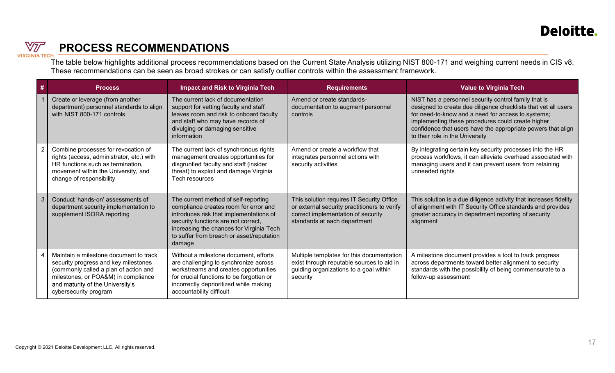

# PROCESS RECOMMENDATIONS

|                | <b>PROCESS RECOMMENDATIONS</b>                                                                                                                                                                                              |                                                                                                                                                                                                                                                                    |                                                                                                                                                                 | Deloitte.                                                                                                                                                                                                                                                                                                                                                             |
|----------------|-----------------------------------------------------------------------------------------------------------------------------------------------------------------------------------------------------------------------------|--------------------------------------------------------------------------------------------------------------------------------------------------------------------------------------------------------------------------------------------------------------------|-----------------------------------------------------------------------------------------------------------------------------------------------------------------|-----------------------------------------------------------------------------------------------------------------------------------------------------------------------------------------------------------------------------------------------------------------------------------------------------------------------------------------------------------------------|
| A TECI<br>#    |                                                                                                                                                                                                                             |                                                                                                                                                                                                                                                                    | These recommendations can be seen as broad strokes or can satisfy outlier controls within the assessment framework.                                             | The table below highlights additional process recommendations based on the Current State Analysis utilizing NIST 800-171 and weighing current needs in CIS v8.                                                                                                                                                                                                        |
|                | <b>Process</b><br>Create or leverage (from another<br>department) personnel standards to align<br>with NIST 800-171 controls                                                                                                | <b>Impact and Risk to Virginia Tech</b><br>The current lack of documentation<br>support for vetting faculty and staff<br>leaves room and risk to onboard faculty<br>and staff who may have records of<br>divulging or damaging sensitive<br>information            | <b>Requirements</b><br>Amend or create standards-<br>documentation to augment personnel<br>controls                                                             | <b>Value to Virginia Tech</b><br>NIST has a personnel security control family that is<br>designed to create due diligence checklists that vet all users<br>for need-to-know and a need for access to systems;<br>implementing these procedures could create higher<br>confidence that users have the appropriate powers that align<br>to their role in the University |
|                | Combine processes for revocation of<br>rights (access, administrator, etc.) with<br>HR functions such as termination,<br>movement within the University, and<br>change of responsibility                                    | The current lack of synchronous rights<br>management creates opportunities for<br>disgruntled faculty and staff (insider<br>threat) to exploit and damage Virginia<br>Tech resources                                                                               | Amend or create a workflow that<br>integrates personnel actions with<br>security activities                                                                     | By integrating certain key security processes into the HR<br>process workflows, it can alleviate overhead associated with<br>managing users and it can prevent users from retaining<br>unneeded rights                                                                                                                                                                |
| $\overline{3}$ | Conduct 'hands-on' assessments of<br>department security implementation to<br>supplement ISORA reporting                                                                                                                    | The current method of self-reporting<br>compliance creates room for error and<br>introduces risk that implementations of<br>security functions are not correct,<br>increasing the chances for Virginia Tech<br>to suffer from breach or asset/reputation<br>damage | This solution requires IT Security Office<br>or external security practitioners to verify<br>correct implementation of security<br>standards at each department | This solution is a due diligence activity that increases fidelity<br>of alignment with IT Security Office standards and provides<br>greater accuracy in department reporting of security<br>alignment                                                                                                                                                                 |
|                | Maintain a milestone document to track<br>security progress and key milestones<br>(commonly called a plan of action and<br>milestones, or POA&M) in compliance<br>and maturity of the University's<br>cybersecurity program | Without a milestone document, efforts<br>are challenging to synchronize across<br>workstreams and creates opportunities<br>for crucial functions to be forgotten or<br>incorrectly deprioritized while making<br>accountability difficult                          | Multiple templates for this documentation<br>exist through reputable sources to aid in<br>guiding organizations to a goal within<br>security                    | A milestone document provides a tool to track progress<br>across departments toward better alignment to security<br>standards with the possibility of being commensurate to a<br>follow-up assessment                                                                                                                                                                 |